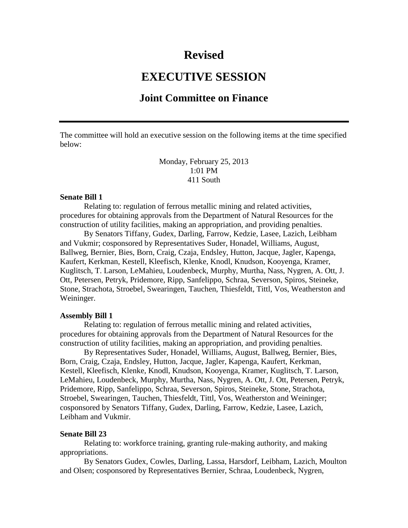## **Revised**

# **EXECUTIVE SESSION**

### **Joint Committee on Finance**

The committee will hold an executive session on the following items at the time specified below:

> Monday, February 25, 2013 1:01 PM 411 South

#### **Senate Bill 1**

Relating to: regulation of ferrous metallic mining and related activities, procedures for obtaining approvals from the Department of Natural Resources for the construction of utility facilities, making an appropriation, and providing penalties.

By Senators Tiffany, Gudex, Darling, Farrow, Kedzie, Lasee, Lazich, Leibham and Vukmir; cosponsored by Representatives Suder, Honadel, Williams, August, Ballweg, Bernier, Bies, Born, Craig, Czaja, Endsley, Hutton, Jacque, Jagler, Kapenga, Kaufert, Kerkman, Kestell, Kleefisch, Klenke, Knodl, Knudson, Kooyenga, Kramer, Kuglitsch, T. Larson, LeMahieu, Loudenbeck, Murphy, Murtha, Nass, Nygren, A. Ott, J. Ott, Petersen, Petryk, Pridemore, Ripp, Sanfelippo, Schraa, Severson, Spiros, Steineke, Stone, Strachota, Stroebel, Swearingen, Tauchen, Thiesfeldt, Tittl, Vos, Weatherston and Weininger.

#### **Assembly Bill 1**

Relating to: regulation of ferrous metallic mining and related activities, procedures for obtaining approvals from the Department of Natural Resources for the construction of utility facilities, making an appropriation, and providing penalties.

By Representatives Suder, Honadel, Williams, August, Ballweg, Bernier, Bies, Born, Craig, Czaja, Endsley, Hutton, Jacque, Jagler, Kapenga, Kaufert, Kerkman, Kestell, Kleefisch, Klenke, Knodl, Knudson, Kooyenga, Kramer, Kuglitsch, T. Larson, LeMahieu, Loudenbeck, Murphy, Murtha, Nass, Nygren, A. Ott, J. Ott, Petersen, Petryk, Pridemore, Ripp, Sanfelippo, Schraa, Severson, Spiros, Steineke, Stone, Strachota, Stroebel, Swearingen, Tauchen, Thiesfeldt, Tittl, Vos, Weatherston and Weininger; cosponsored by Senators Tiffany, Gudex, Darling, Farrow, Kedzie, Lasee, Lazich, Leibham and Vukmir.

#### **Senate Bill 23**

Relating to: workforce training, granting rule-making authority, and making appropriations.

By Senators Gudex, Cowles, Darling, Lassa, Harsdorf, Leibham, Lazich, Moulton and Olsen; cosponsored by Representatives Bernier, Schraa, Loudenbeck, Nygren,